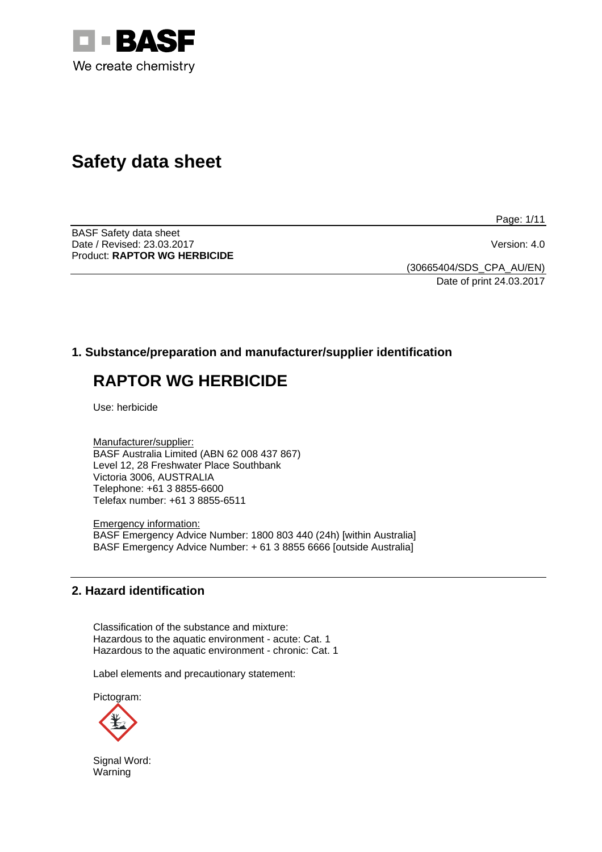

# **Safety data sheet**

Page: 1/11

BASF Safety data sheet Date / Revised: 23.03.2017 Version: 4.0 Product: **RAPTOR WG HERBICIDE** 

(30665404/SDS\_CPA\_AU/EN) Date of print 24.03.2017

# **1. Substance/preparation and manufacturer/supplier identification**

# **RAPTOR WG HERBICIDE**

Use: herbicide

Manufacturer/supplier: BASF Australia Limited (ABN 62 008 437 867) Level 12, 28 Freshwater Place Southbank Victoria 3006, AUSTRALIA Telephone: +61 3 8855-6600 Telefax number: +61 3 8855-6511

Emergency information: BASF Emergency Advice Number: 1800 803 440 (24h) [within Australia] BASF Emergency Advice Number: + 61 3 8855 6666 [outside Australia]

## **2. Hazard identification**

Classification of the substance and mixture: Hazardous to the aquatic environment - acute: Cat. 1 Hazardous to the aquatic environment - chronic: Cat. 1

Label elements and precautionary statement:

Pictogram:



Signal Word: Warning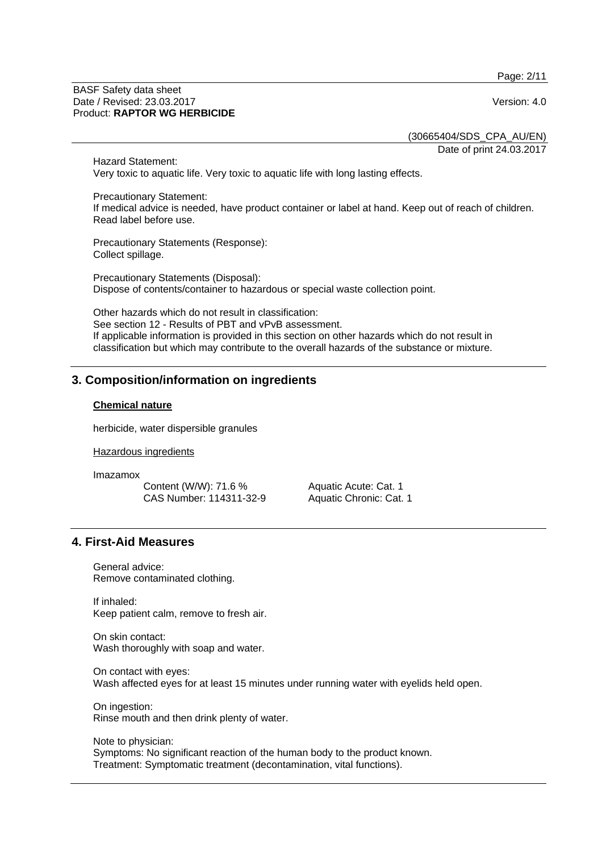Page: 2/11

#### BASF Safety data sheet Date / Revised: 23.03.2017 Version: 4.0 Product: **RAPTOR WG HERBICIDE**

(30665404/SDS\_CPA\_AU/EN) Date of print 24.03.2017

Hazard Statement: Very toxic to aquatic life. Very toxic to aquatic life with long lasting effects.

Precautionary Statement: If medical advice is needed, have product container or label at hand. Keep out of reach of children. Read label before use.

Precautionary Statements (Response): Collect spillage.

Precautionary Statements (Disposal): Dispose of contents/container to hazardous or special waste collection point.

Other hazards which do not result in classification: See section 12 - Results of PBT and vPvB assessment. If applicable information is provided in this section on other hazards which do not result in classification but which may contribute to the overall hazards of the substance or mixture.

# **3. Composition/information on ingredients**

#### **Chemical nature**

herbicide, water dispersible granules

Hazardous ingredients

Imazamox

Content (W/W): 71.6 % CAS Number: 114311-32-9 Aquatic Acute: Cat. 1 Aquatic Chronic: Cat. 1

# **4. First-Aid Measures**

General advice: Remove contaminated clothing.

If inhaled: Keep patient calm, remove to fresh air.

On skin contact: Wash thoroughly with soap and water.

On contact with eyes: Wash affected eyes for at least 15 minutes under running water with eyelids held open.

On ingestion: Rinse mouth and then drink plenty of water.

Note to physician: Symptoms: No significant reaction of the human body to the product known. Treatment: Symptomatic treatment (decontamination, vital functions).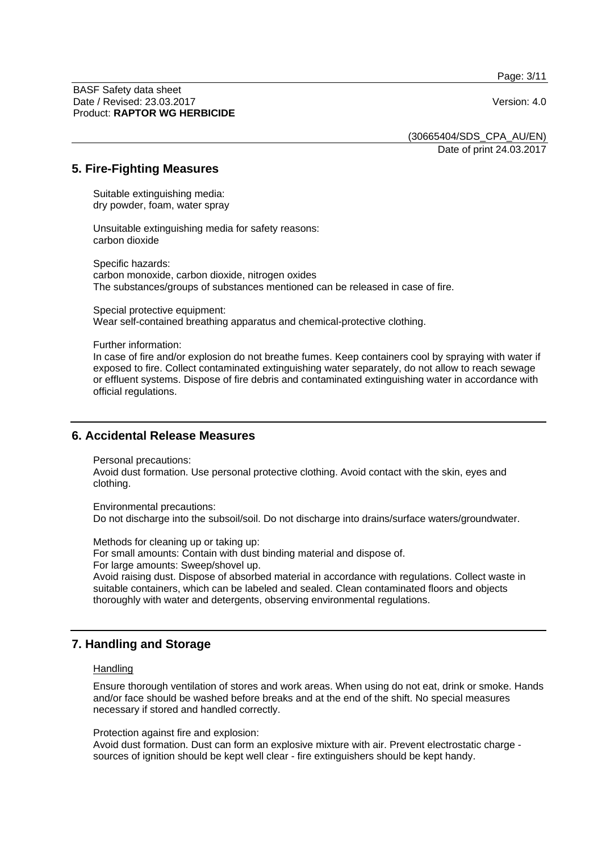Page: 3/11

BASF Safety data sheet Date / Revised: 23.03.2017 Version: 4.0 Product: **RAPTOR WG HERBICIDE**

(30665404/SDS\_CPA\_AU/EN) Date of print 24.03.2017

#### **5. Fire-Fighting Measures**

Suitable extinguishing media: dry powder, foam, water spray

Unsuitable extinguishing media for safety reasons: carbon dioxide

Specific hazards: carbon monoxide, carbon dioxide, nitrogen oxides The substances/groups of substances mentioned can be released in case of fire.

Special protective equipment: Wear self-contained breathing apparatus and chemical-protective clothing.

Further information:

In case of fire and/or explosion do not breathe fumes. Keep containers cool by spraying with water if exposed to fire. Collect contaminated extinguishing water separately, do not allow to reach sewage or effluent systems. Dispose of fire debris and contaminated extinguishing water in accordance with official regulations.

#### **6. Accidental Release Measures**

Personal precautions:

Avoid dust formation. Use personal protective clothing. Avoid contact with the skin, eyes and clothing.

Environmental precautions:

Do not discharge into the subsoil/soil. Do not discharge into drains/surface waters/groundwater.

Methods for cleaning up or taking up:

For small amounts: Contain with dust binding material and dispose of.

For large amounts: Sweep/shovel up.

Avoid raising dust. Dispose of absorbed material in accordance with regulations. Collect waste in suitable containers, which can be labeled and sealed. Clean contaminated floors and objects thoroughly with water and detergents, observing environmental regulations.

## **7. Handling and Storage**

#### **Handling**

Ensure thorough ventilation of stores and work areas. When using do not eat, drink or smoke. Hands and/or face should be washed before breaks and at the end of the shift. No special measures necessary if stored and handled correctly.

Protection against fire and explosion:

Avoid dust formation. Dust can form an explosive mixture with air. Prevent electrostatic charge sources of ignition should be kept well clear - fire extinguishers should be kept handy.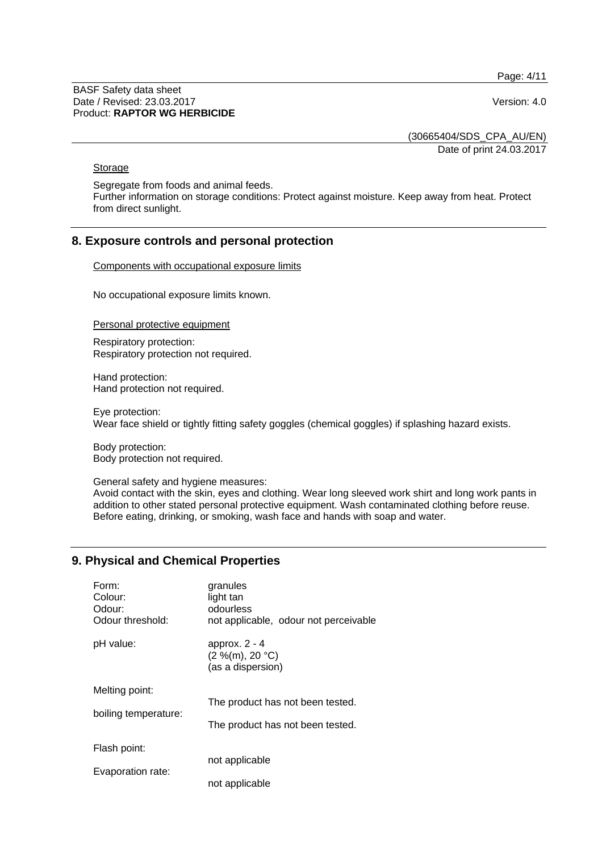Page: 4/11

BASF Safety data sheet Date / Revised: 23.03.2017 Version: 4.0 Product: **RAPTOR WG HERBICIDE**

(30665404/SDS\_CPA\_AU/EN)

Date of print 24.03.2017

## **Storage**

Segregate from foods and animal feeds. Further information on storage conditions: Protect against moisture. Keep away from heat. Protect from direct sunlight.

## **8. Exposure controls and personal protection**

Components with occupational exposure limits

No occupational exposure limits known.

Personal protective equipment

Respiratory protection: Respiratory protection not required.

Hand protection: Hand protection not required.

Eye protection: Wear face shield or tightly fitting safety goggles (chemical goggles) if splashing hazard exists.

Body protection: Body protection not required.

General safety and hygiene measures:

Avoid contact with the skin, eyes and clothing. Wear long sleeved work shirt and long work pants in addition to other stated personal protective equipment. Wash contaminated clothing before reuse. Before eating, drinking, or smoking, wash face and hands with soap and water.

## **9. Physical and Chemical Properties**

| Form:                | granules                                                |
|----------------------|---------------------------------------------------------|
| Colour:              | light tan                                               |
| Odour:               | odourless                                               |
| Odour threshold:     | not applicable, odour not perceivable                   |
| pH value:            | approx. $2 - 4$<br>(2 %(m), 20 °C)<br>(as a dispersion) |
| Melting point:       | The product has not been tested.                        |
| boiling temperature: | The product has not been tested.                        |
| Flash point:         | not applicable                                          |
| Evaporation rate:    | not applicable                                          |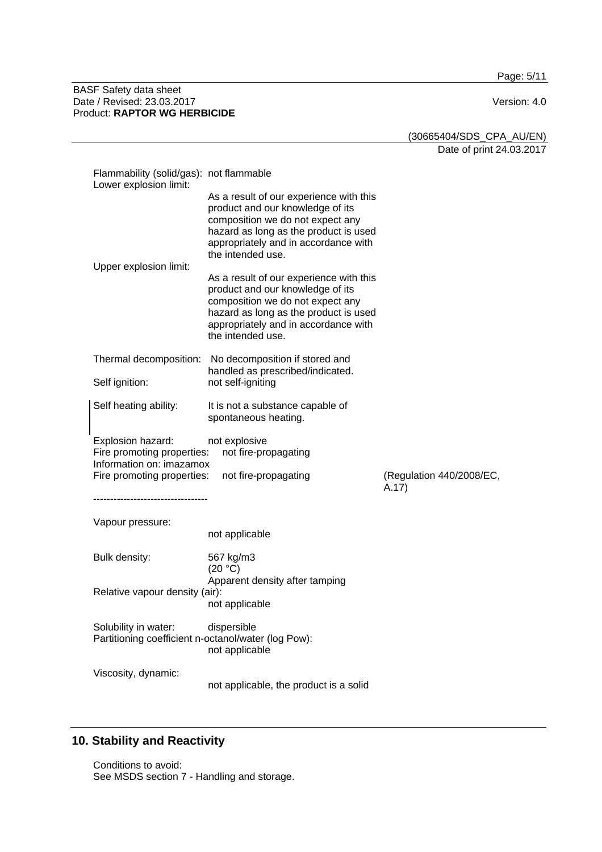Page: 5/11

#### BASF Safety data sheet Date / Revised: 23.03.2017 Version: 4.0 Product: **RAPTOR WG HERBICIDE**

(30665404/SDS\_CPA\_AU/EN) Date of print 24.03.2017

| Flammability (solid/gas): not flammable<br>Lower explosion limit:                                         |                                                                                                                                                                                                                                                                  |                          |
|-----------------------------------------------------------------------------------------------------------|------------------------------------------------------------------------------------------------------------------------------------------------------------------------------------------------------------------------------------------------------------------|--------------------------|
| Upper explosion limit:                                                                                    | As a result of our experience with this<br>product and our knowledge of its<br>composition we do not expect any<br>hazard as long as the product is used<br>appropriately and in accordance with<br>the intended use.<br>As a result of our experience with this |                          |
|                                                                                                           | product and our knowledge of its<br>composition we do not expect any<br>hazard as long as the product is used<br>appropriately and in accordance with<br>the intended use.                                                                                       |                          |
| Thermal decomposition:                                                                                    | No decomposition if stored and                                                                                                                                                                                                                                   |                          |
| Self ignition:                                                                                            | handled as prescribed/indicated.<br>not self-igniting                                                                                                                                                                                                            |                          |
| Self heating ability:                                                                                     | It is not a substance capable of<br>spontaneous heating.                                                                                                                                                                                                         |                          |
| Explosion hazard:<br>Fire promoting properties:<br>Information on: imazamox<br>Fire promoting properties: | not explosive<br>not fire-propagating<br>not fire-propagating                                                                                                                                                                                                    | (Regulation 440/2008/EC, |
| ------------------------                                                                                  |                                                                                                                                                                                                                                                                  | A.17)                    |
|                                                                                                           |                                                                                                                                                                                                                                                                  |                          |
| Vapour pressure:                                                                                          |                                                                                                                                                                                                                                                                  |                          |
|                                                                                                           | not applicable                                                                                                                                                                                                                                                   |                          |
| Bulk density:                                                                                             | 567 kg/m3<br>(20 °C)                                                                                                                                                                                                                                             |                          |
| Relative vapour density (air):                                                                            | Apparent density after tamping<br>not applicable                                                                                                                                                                                                                 |                          |
| Solubility in water:<br>Partitioning coefficient n-octanol/water (log Pow):                               | dispersible<br>not applicable                                                                                                                                                                                                                                    |                          |

# **10. Stability and Reactivity**

Conditions to avoid: See MSDS section 7 - Handling and storage.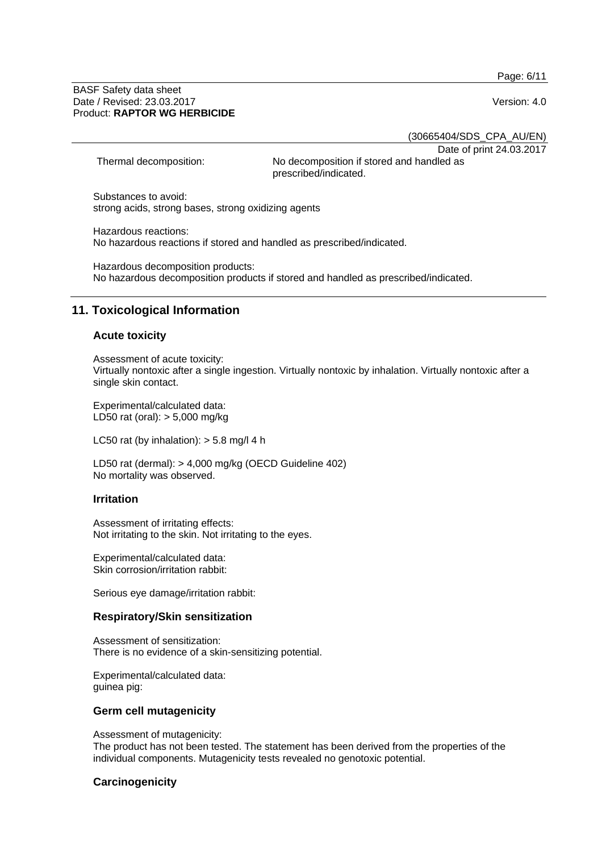Page: 6/11

#### BASF Safety data sheet Date / Revised: 23.03.2017 Version: 4.0 Product: **RAPTOR WG HERBICIDE**

(30665404/SDS\_CPA\_AU/EN)

Date of print 24.03.2017

Thermal decomposition: No decomposition if stored and handled as prescribed/indicated.

Substances to avoid: strong acids, strong bases, strong oxidizing agents

Hazardous reactions: No hazardous reactions if stored and handled as prescribed/indicated.

Hazardous decomposition products: No hazardous decomposition products if stored and handled as prescribed/indicated.

# **11. Toxicological Information**

## **Acute toxicity**

Assessment of acute toxicity: Virtually nontoxic after a single ingestion. Virtually nontoxic by inhalation. Virtually nontoxic after a single skin contact.

Experimental/calculated data: LD50 rat (oral): > 5,000 mg/kg

LC50 rat (by inhalation):  $>$  5.8 mg/l 4 h

LD50 rat (dermal): > 4,000 mg/kg (OECD Guideline 402) No mortality was observed.

#### **Irritation**

Assessment of irritating effects: Not irritating to the skin. Not irritating to the eyes.

Experimental/calculated data: Skin corrosion/irritation rabbit:

Serious eye damage/irritation rabbit:

#### **Respiratory/Skin sensitization**

Assessment of sensitization: There is no evidence of a skin-sensitizing potential.

Experimental/calculated data: guinea pig:

#### **Germ cell mutagenicity**

Assessment of mutagenicity: The product has not been tested. The statement has been derived from the properties of the individual components. Mutagenicity tests revealed no genotoxic potential.

## **Carcinogenicity**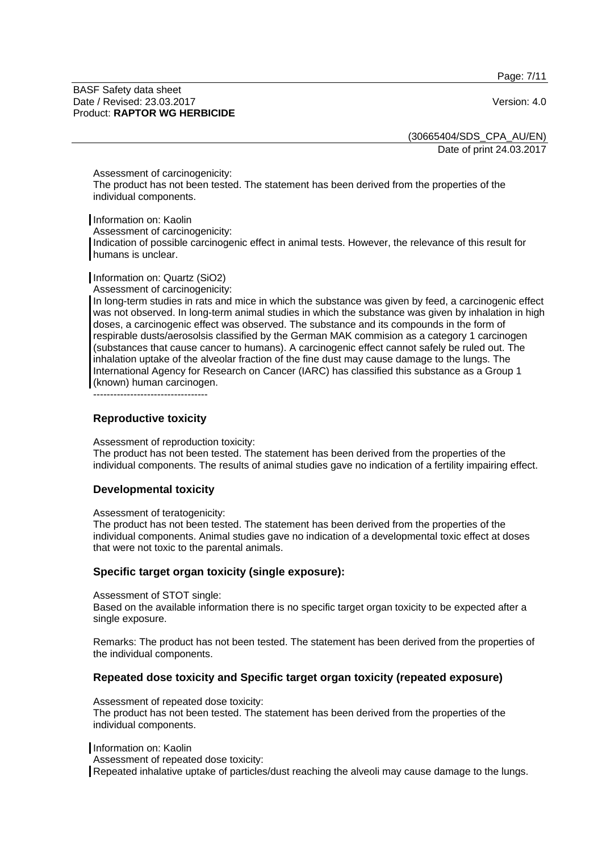Page: 7/11

BASF Safety data sheet Date / Revised: 23.03.2017 Version: 4.0 Product: **RAPTOR WG HERBICIDE**

(30665404/SDS\_CPA\_AU/EN) Date of print 24.03.2017

Assessment of carcinogenicity:

The product has not been tested. The statement has been derived from the properties of the individual components.

Information on: Kaolin

Assessment of carcinogenicity:

Indication of possible carcinogenic effect in animal tests. However, the relevance of this result for humans is unclear.

Information on: Quartz (SiO2)

Assessment of carcinogenicity:

In long-term studies in rats and mice in which the substance was given by feed, a carcinogenic effect was not observed. In long-term animal studies in which the substance was given by inhalation in high doses, a carcinogenic effect was observed. The substance and its compounds in the form of respirable dusts/aerosolsis classified by the German MAK commision as a category 1 carcinogen (substances that cause cancer to humans). A carcinogenic effect cannot safely be ruled out. The inhalation uptake of the alveolar fraction of the fine dust may cause damage to the lungs. The International Agency for Research on Cancer (IARC) has classified this substance as a Group 1 (known) human carcinogen.

----------------------------------

#### **Reproductive toxicity**

Assessment of reproduction toxicity:

The product has not been tested. The statement has been derived from the properties of the individual components. The results of animal studies gave no indication of a fertility impairing effect.

#### **Developmental toxicity**

Assessment of teratogenicity:

The product has not been tested. The statement has been derived from the properties of the individual components. Animal studies gave no indication of a developmental toxic effect at doses that were not toxic to the parental animals.

#### **Specific target organ toxicity (single exposure):**

Assessment of STOT single:

Based on the available information there is no specific target organ toxicity to be expected after a single exposure.

Remarks: The product has not been tested. The statement has been derived from the properties of the individual components.

#### **Repeated dose toxicity and Specific target organ toxicity (repeated exposure)**

Assessment of repeated dose toxicity:

The product has not been tested. The statement has been derived from the properties of the individual components.

Information on: Kaolin

Assessment of repeated dose toxicity:

Repeated inhalative uptake of particles/dust reaching the alveoli may cause damage to the lungs.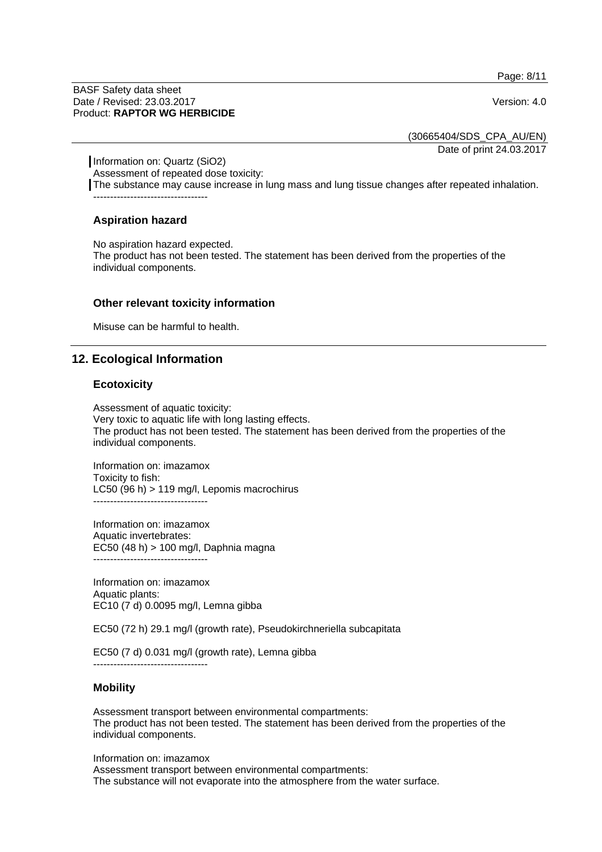Page: 8/11

BASF Safety data sheet Date / Revised: 23.03.2017 Version: 4.0 Product: **RAPTOR WG HERBICIDE**

(30665404/SDS\_CPA\_AU/EN) Date of print 24.03.2017

Information on: Quartz (SiO2) Assessment of repeated dose toxicity: The substance may cause increase in lung mass and lung tissue changes after repeated inhalation. ----------------------------------

## **Aspiration hazard**

No aspiration hazard expected.

The product has not been tested. The statement has been derived from the properties of the individual components.

#### **Other relevant toxicity information**

Misuse can be harmful to health.

## **12. Ecological Information**

#### **Ecotoxicity**

Assessment of aquatic toxicity: Very toxic to aquatic life with long lasting effects. The product has not been tested. The statement has been derived from the properties of the individual components.

Information on: imazamox Toxicity to fish: LC50 (96 h) > 119 mg/l, Lepomis macrochirus ----------------------------------

Information on: imazamox Aquatic invertebrates: EC50 (48 h) > 100 mg/l, Daphnia magna ----------------------------------

Information on: imazamox Aquatic plants: EC10 (7 d) 0.0095 mg/l, Lemna gibba

EC50 (72 h) 29.1 mg/l (growth rate), Pseudokirchneriella subcapitata

EC50 (7 d) 0.031 mg/l (growth rate), Lemna gibba

#### **Mobility**

Assessment transport between environmental compartments: The product has not been tested. The statement has been derived from the properties of the individual components.

Information on: imazamox

Assessment transport between environmental compartments: The substance will not evaporate into the atmosphere from the water surface.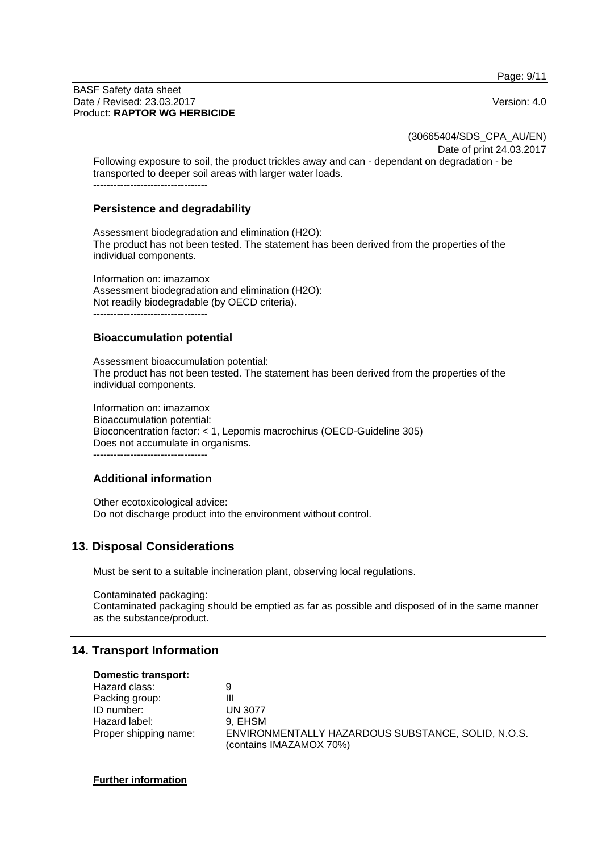Page: 9/11

#### BASF Safety data sheet Date / Revised: 23.03.2017 Version: 4.0 Product: **RAPTOR WG HERBICIDE**

(30665404/SDS\_CPA\_AU/EN)

Date of print 24.03.2017

Following exposure to soil, the product trickles away and can - dependant on degradation - be transported to deeper soil areas with larger water loads. ----------------------------------

### **Persistence and degradability**

Assessment biodegradation and elimination (H2O): The product has not been tested. The statement has been derived from the properties of the individual components.

Information on: imazamox Assessment biodegradation and elimination (H2O): Not readily biodegradable (by OECD criteria).

----------------------------------

## **Bioaccumulation potential**

Assessment bioaccumulation potential: The product has not been tested. The statement has been derived from the properties of the individual components.

Information on: imazamox Bioaccumulation potential: Bioconcentration factor: < 1, Lepomis macrochirus (OECD-Guideline 305) Does not accumulate in organisms.

----------------------------------

## **Additional information**

Other ecotoxicological advice: Do not discharge product into the environment without control.

# **13. Disposal Considerations**

Must be sent to a suitable incineration plant, observing local regulations.

Contaminated packaging: Contaminated packaging should be emptied as far as possible and disposed of in the same manner as the substance/product.

## **14. Transport Information**

| Domestic transport:   |                                                                               |
|-----------------------|-------------------------------------------------------------------------------|
| Hazard class:         | 9                                                                             |
| Packing group:        | Ш                                                                             |
| ID number:            | <b>UN 3077</b>                                                                |
| Hazard label:         | 9. EHSM                                                                       |
| Proper shipping name: | ENVIRONMENTALLY HAZARDOUS SUBSTANCE, SOLID, N.O.S.<br>(contains IMAZAMOX 70%) |

#### **Further information**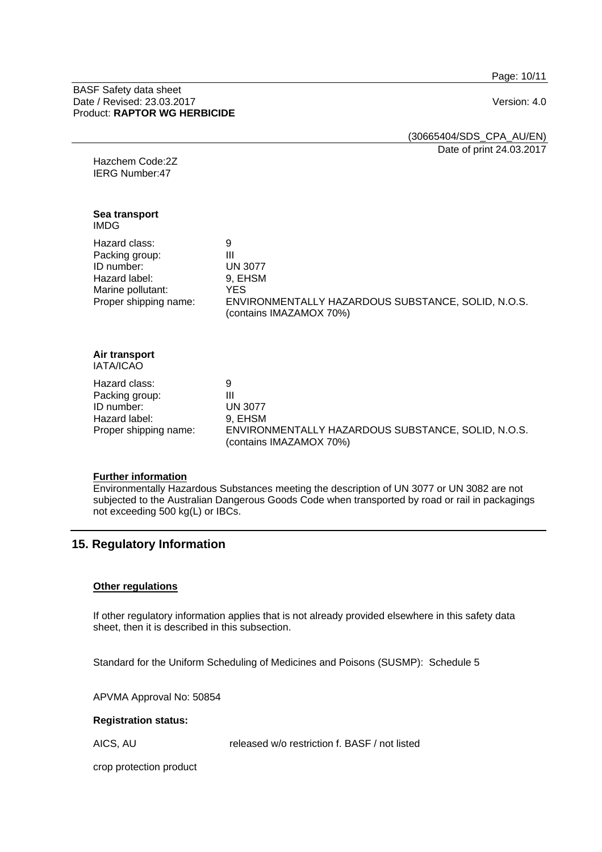Page: 10/11

BASF Safety data sheet Date / Revised: 23.03.2017 Version: 4.0 Product: **RAPTOR WG HERBICIDE**

> (30665404/SDS\_CPA\_AU/EN) Date of print 24.03.2017

Hazchem Code:2Z IERG Number:47

**Sea transport**  IMDG

Hazard class: 9 Packing group: III ID number: UN 3077 Hazard label: 9, EHSM Marine pollutant: YES Proper shipping name: ENVIRONMENTALLY HAZARDOUS SUBSTANCE, SOLID, N.O.S. (contains IMAZAMOX 70%)

#### **Air transport**  IATA/ICAO

Hazard class: 9 Packing group: III<br>
ID number: IN 3077 ID number: Hazard label: 9, EHSM

Proper shipping name: ENVIRONMENTALLY HAZARDOUS SUBSTANCE, SOLID, N.O.S. (contains IMAZAMOX 70%)

#### **Further information**

Environmentally Hazardous Substances meeting the description of UN 3077 or UN 3082 are not subjected to the Australian Dangerous Goods Code when transported by road or rail in packagings not exceeding 500 kg(L) or IBCs.

# **15. Regulatory Information**

#### **Other regulations**

If other regulatory information applies that is not already provided elsewhere in this safety data sheet, then it is described in this subsection.

Standard for the Uniform Scheduling of Medicines and Poisons (SUSMP): Schedule 5

APVMA Approval No: 50854

#### **Registration status:**

AICS, AU released w/o restriction f. BASF / not listed

crop protection product